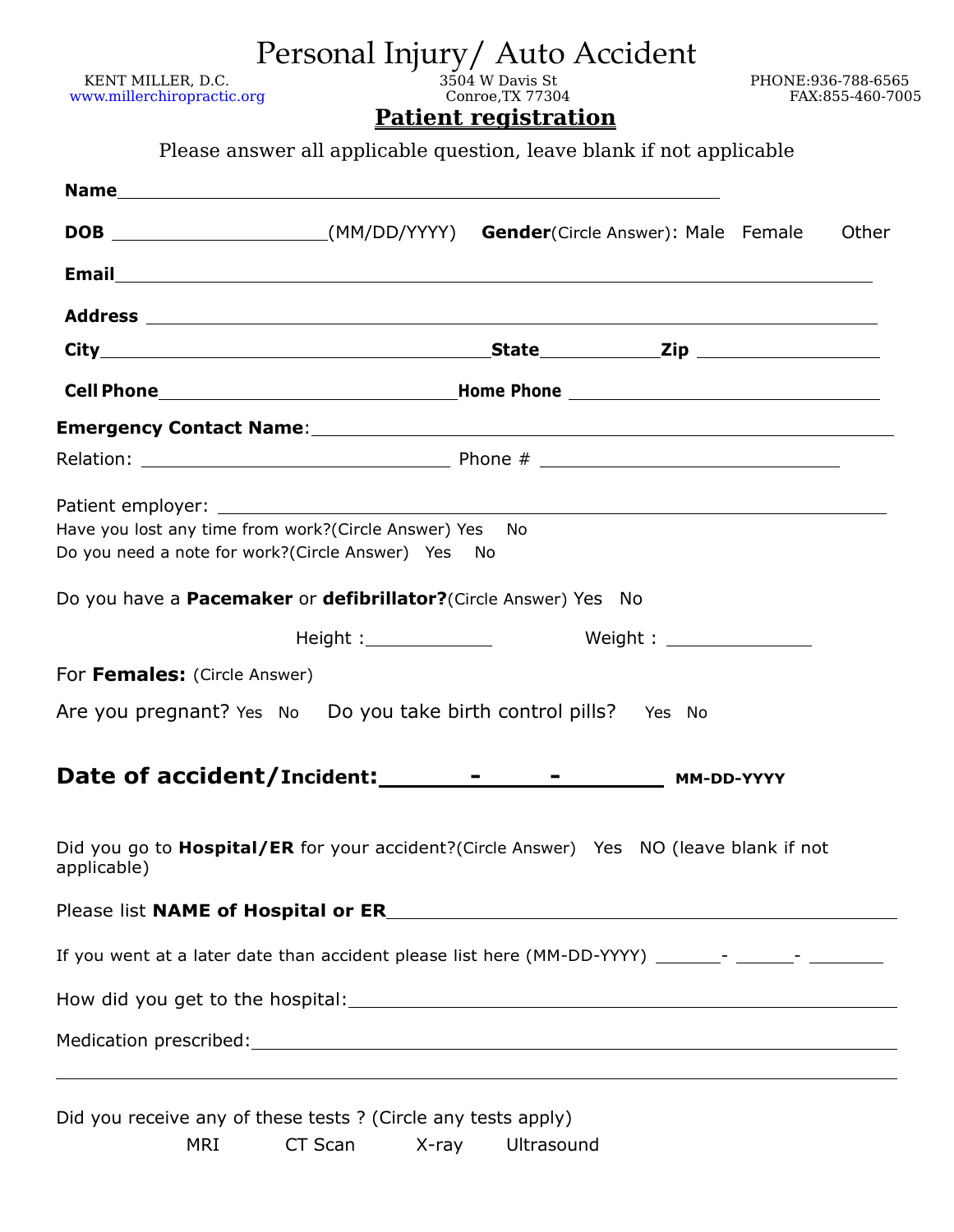| www.millerchiropractic.org<br>Conroe, TX 77304<br><b>Patient registration</b><br>Please answer all applicable question, leave blank if not applicable<br>DOB ________________________(MM/DD/YYYY) Gender(Circle Answer): Male Female | FAX:855-460-7005                              |
|--------------------------------------------------------------------------------------------------------------------------------------------------------------------------------------------------------------------------------------|-----------------------------------------------|
|                                                                                                                                                                                                                                      |                                               |
|                                                                                                                                                                                                                                      |                                               |
|                                                                                                                                                                                                                                      |                                               |
|                                                                                                                                                                                                                                      | Other                                         |
|                                                                                                                                                                                                                                      |                                               |
|                                                                                                                                                                                                                                      |                                               |
|                                                                                                                                                                                                                                      |                                               |
|                                                                                                                                                                                                                                      |                                               |
| Emergency Contact Name: 1990 and 200 million and 200 million and 200 million and 200 million and 200 million a                                                                                                                       |                                               |
|                                                                                                                                                                                                                                      |                                               |
| Have you lost any time from work?(Circle Answer) Yes No<br>Do you need a note for work?(Circle Answer) Yes No                                                                                                                        |                                               |
| Do you have a <b>Pacemaker</b> or <b>defibrillator?</b> (Circle Answer) Yes No                                                                                                                                                       |                                               |
|                                                                                                                                                                                                                                      |                                               |
| For Females: (Circle Answer)                                                                                                                                                                                                         |                                               |
| Are you pregnant? Yes No Do you take birth control pills? Yes No                                                                                                                                                                     |                                               |
| Date of accident/Incident: ________<br>MM-DD-YYYY                                                                                                                                                                                    |                                               |
| Did you go to <b>Hospital/ER</b> for your accident?(Circle Answer) Yes NO (leave blank if not<br>applicable)                                                                                                                         |                                               |
|                                                                                                                                                                                                                                      |                                               |
| If you went at a later date than accident please list here (MM-DD-YYYY) _______- _______- _________                                                                                                                                  |                                               |
|                                                                                                                                                                                                                                      |                                               |
|                                                                                                                                                                                                                                      | Medication prescribed: Medication prescribed: |

## Personal Injury/ Auto Accident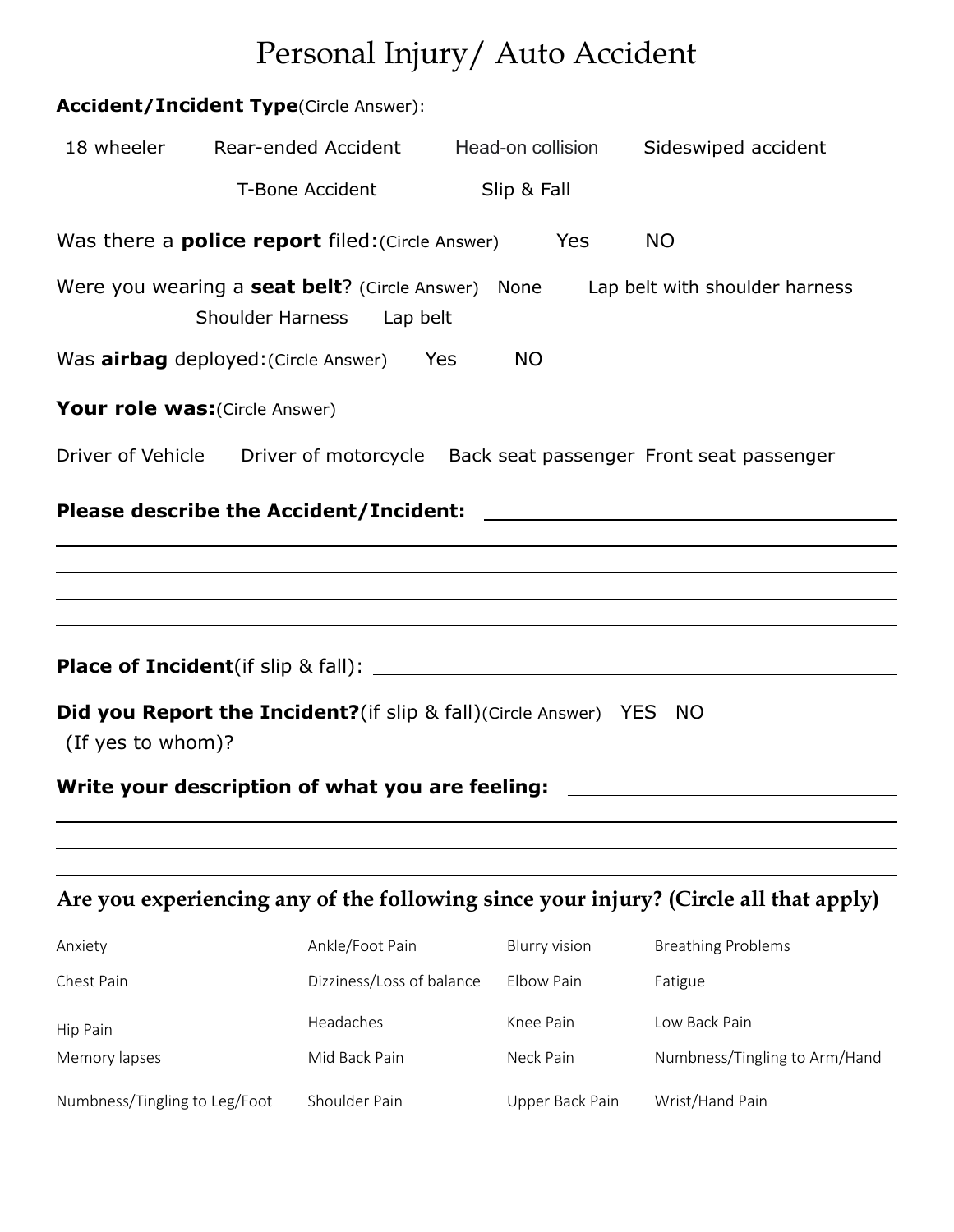# Personal Injury/ Auto Accident

|                                | <b>Accident/Incident Type(Circle Answer):</b>                                                                                 |                      |                                                                                      |
|--------------------------------|-------------------------------------------------------------------------------------------------------------------------------|----------------------|--------------------------------------------------------------------------------------|
| 18 wheeler                     | Rear-ended Accident                                                                                                           | Head-on collision    | Sideswiped accident                                                                  |
|                                | <b>T-Bone Accident</b>                                                                                                        | Slip & Fall          |                                                                                      |
|                                | Was there a <b>police report</b> filed: (Circle Answer)                                                                       | Yes                  | <b>NO</b>                                                                            |
|                                | Were you wearing a seat belt? (Circle Answer) None Lap belt with shoulder harness<br><b>Shoulder Harness</b><br>Lap belt      |                      |                                                                                      |
|                                | Was <b>airbag</b> deployed: (Circle Answer) Yes                                                                               | <b>NO</b>            |                                                                                      |
| Your role was: (Circle Answer) |                                                                                                                               |                      |                                                                                      |
|                                | Driver of Vehicle Driver of motorcycle Back seat passenger Front seat passenger                                               |                      |                                                                                      |
|                                |                                                                                                                               |                      |                                                                                      |
|                                |                                                                                                                               |                      |                                                                                      |
|                                |                                                                                                                               |                      | ,我们也不会有什么。""我们的人,我们也不会有什么?""我们的人,我们也不会有什么?""我们的人,我们也不会有什么?""我们的人,我们也不会有什么?""我们的人     |
|                                |                                                                                                                               |                      |                                                                                      |
|                                | <b>Did you Report the Incident?</b> (if slip & fall)(Circle Answer) YES NO<br>$($ If yes to whom $)$ ? $\qquad \qquad \qquad$ |                      |                                                                                      |
|                                | Write your description of what you are feeling:                                                                               |                      |                                                                                      |
|                                |                                                                                                                               |                      |                                                                                      |
|                                |                                                                                                                               |                      | Are you experiencing any of the following since your injury? (Circle all that apply) |
|                                |                                                                                                                               |                      |                                                                                      |
| Anxiety                        | Ankle/Foot Pain                                                                                                               | <b>Blurry vision</b> | <b>Breathing Problems</b>                                                            |
| Chest Pain                     | Dizziness/Loss of balance                                                                                                     | Elbow Pain           | Fatigue                                                                              |
| Hip Pain                       | Headaches                                                                                                                     | Knee Pain            | Low Back Pain                                                                        |
| Memory lapses                  | Mid Back Pain                                                                                                                 | Neck Pain            | Numbness/Tingling to Arm/Hand                                                        |
| Numbness/Tingling to Leg/Foot  | Shoulder Pain                                                                                                                 | Upper Back Pain      | Wrist/Hand Pain                                                                      |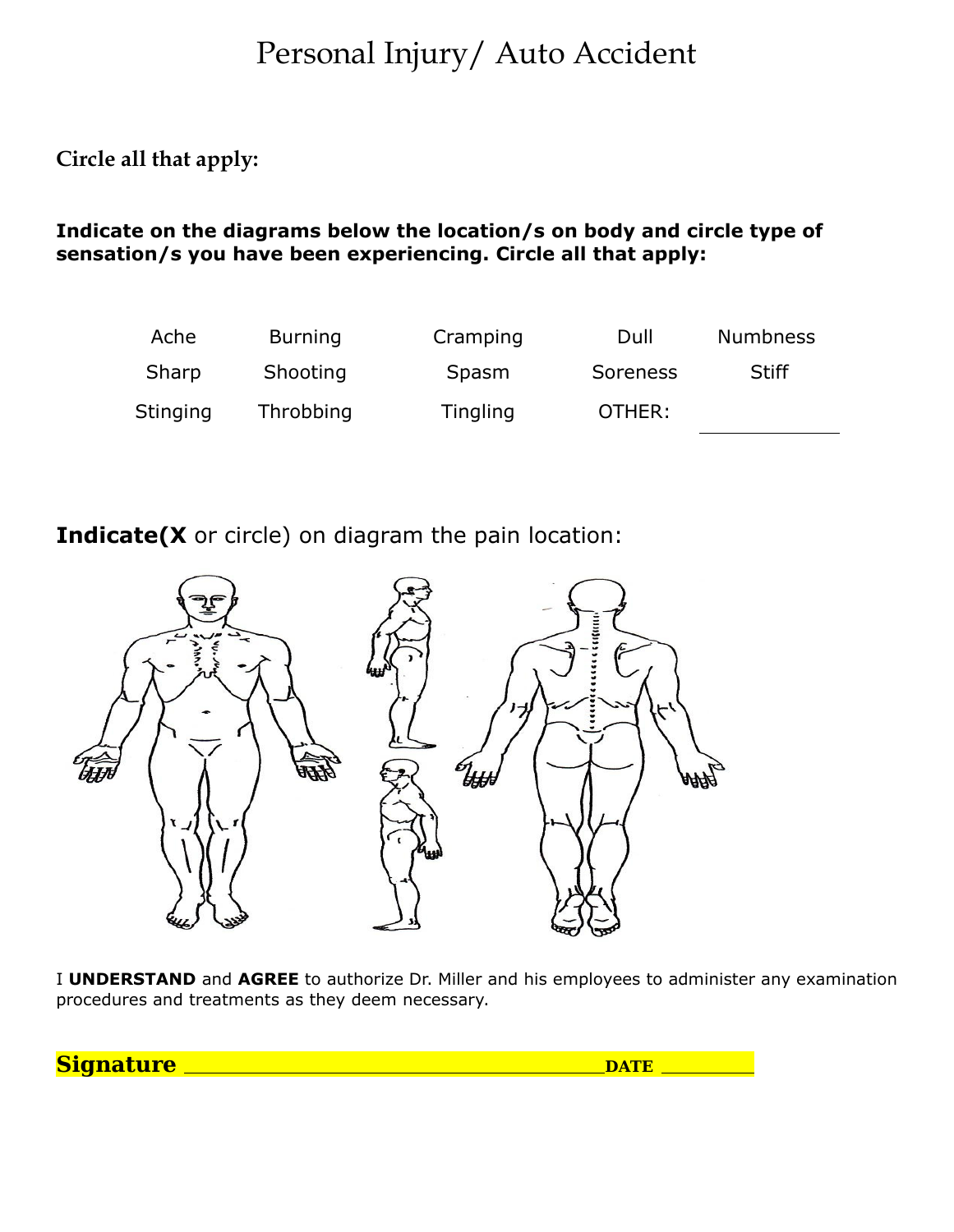# Personal Injury/ Auto Accident

**Circle all that apply:**

#### **Indicate on the diagrams below the location/s on body and circle type of sensation/s you have been experiencing. Circle all that apply:**



**Indicate(X** or circle) on diagram the pain location:



I **UNDERSTAND** and **AGREE** to authorize Dr. Miller and his employees to administer any examination procedures and treatments as they deem necessary.

**Signature DATE**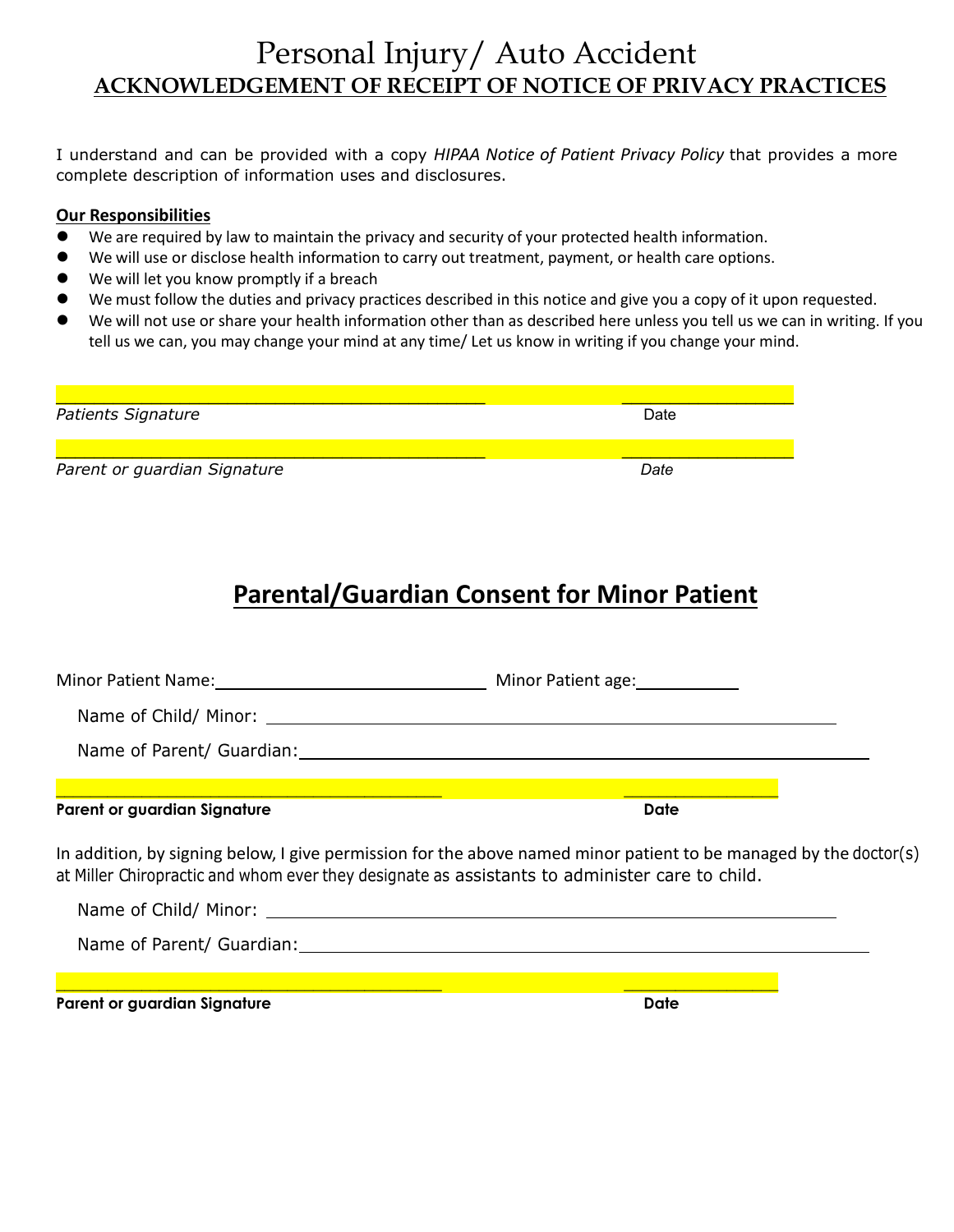#### Personal Injury/ Auto Accident **ACKNOWLEDGEMENT OF RECEIPT OF NOTICE OF PRIVACY PRACTICES**

I understand and can be provided with a copy *HIPAA Notice of Patient Privacy Policy* that provides a more complete description of information uses and disclosures.

#### **Our Responsibilities**

- We are required by law to maintain the privacy and security of your protected health information.
- We will use or disclose health information to carry out treatment, payment, or health care options.
- We will let you know promptly if a breach
- We must follow the duties and privacy practices described in this notice and give you a copy of it upon requested.
- We will not use or share your health information other than as described here unless you tell us we can in writing. If you tell us we can, you may change your mind at any time/ Let us know in writing if you change your mind.

| Patients Signature           | Date |
|------------------------------|------|
|                              |      |
|                              |      |
| Parent or guardian Signature | Date |
|                              |      |

### **Parental/Guardian Consent for Minor Patient**

| Parent or guardian Signature                                                                   | <b>Date</b>                                                                                                       |
|------------------------------------------------------------------------------------------------|-------------------------------------------------------------------------------------------------------------------|
| at Miller Chiropractic and whom ever they designate as assistants to administer care to child. | In addition, by signing below, I give permission for the above named minor patient to be managed by the doctor(s) |
|                                                                                                |                                                                                                                   |
|                                                                                                |                                                                                                                   |
|                                                                                                |                                                                                                                   |

**Parent or guardian Signature Date**